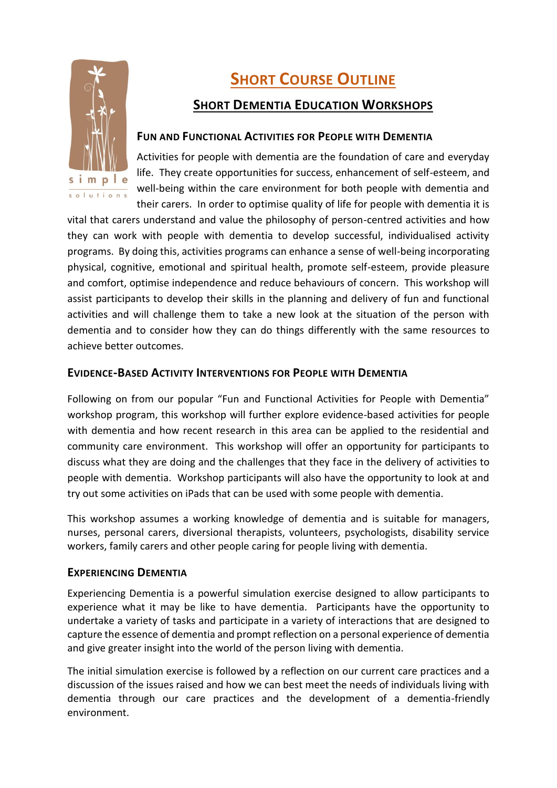

# **SHORT COURSE OUTLINE**

## **SHORT DEMENTIA EDUCATION WORKSHOPS**

#### **FUN AND FUNCTIONAL ACTIVITIES FOR PEOPLE WITH DEMENTIA**

Activities for people with dementia are the foundation of care and everyday life. They create opportunities for success, enhancement of self-esteem, and well-being within the care environment for both people with dementia and their carers. In order to optimise quality of life for people with dementia it is

vital that carers understand and value the philosophy of person-centred activities and how they can work with people with dementia to develop successful, individualised activity programs. By doing this, activities programs can enhance a sense of well-being incorporating physical, cognitive, emotional and spiritual health, promote self-esteem, provide pleasure and comfort, optimise independence and reduce behaviours of concern. This workshop will assist participants to develop their skills in the planning and delivery of fun and functional activities and will challenge them to take a new look at the situation of the person with dementia and to consider how they can do things differently with the same resources to achieve better outcomes.

## **EVIDENCE-BASED ACTIVITY INTERVENTIONS FOR PEOPLE WITH DEMENTIA**

Following on from our popular "Fun and Functional Activities for People with Dementia" workshop program, this workshop will further explore evidence-based activities for people with dementia and how recent research in this area can be applied to the residential and community care environment. This workshop will offer an opportunity for participants to discuss what they are doing and the challenges that they face in the delivery of activities to people with dementia. Workshop participants will also have the opportunity to look at and try out some activities on iPads that can be used with some people with dementia.

This workshop assumes a working knowledge of dementia and is suitable for managers, nurses, personal carers, diversional therapists, volunteers, psychologists, disability service workers, family carers and other people caring for people living with dementia.

## **EXPERIENCING DEMENTIA**

Experiencing Dementia is a powerful simulation exercise designed to allow participants to experience what it may be like to have dementia. Participants have the opportunity to undertake a variety of tasks and participate in a variety of interactions that are designed to capture the essence of dementia and prompt reflection on a personal experience of dementia and give greater insight into the world of the person living with dementia.

The initial simulation exercise is followed by a reflection on our current care practices and a discussion of the issues raised and how we can best meet the needs of individuals living with dementia through our care practices and the development of a dementia-friendly environment.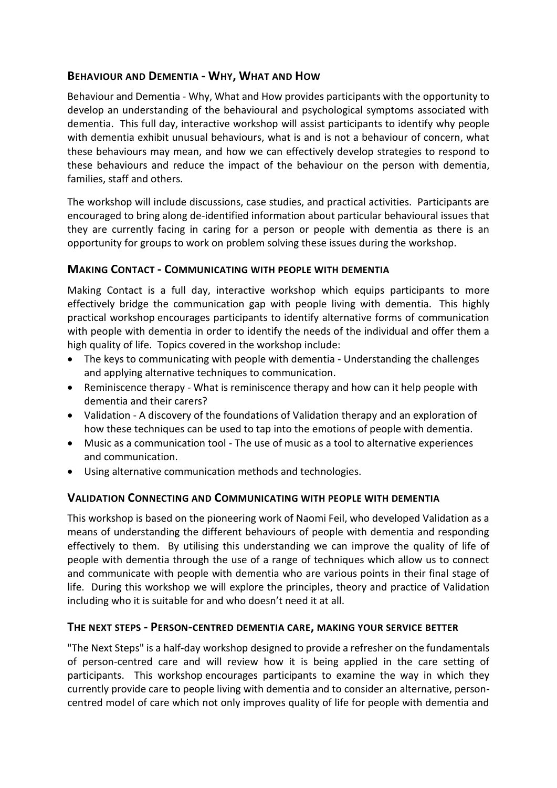### **BEHAVIOUR AND DEMENTIA - WHY, WHAT AND HOW**

Behaviour and Dementia - Why, What and How provides participants with the opportunity to develop an understanding of the behavioural and psychological symptoms associated with dementia. This full day, interactive workshop will assist participants to identify why people with dementia exhibit unusual behaviours, what is and is not a behaviour of concern, what these behaviours may mean, and how we can effectively develop strategies to respond to these behaviours and reduce the impact of the behaviour on the person with dementia, families, staff and others.

The workshop will include discussions, case studies, and practical activities. Participants are encouraged to bring along de-identified information about particular behavioural issues that they are currently facing in caring for a person or people with dementia as there is an opportunity for groups to work on problem solving these issues during the workshop.

#### **MAKING CONTACT - COMMUNICATING WITH PEOPLE WITH DEMENTIA**

Making Contact is a full day, interactive workshop which equips participants to more effectively bridge the communication gap with people living with dementia. This highly practical workshop encourages participants to identify alternative forms of communication with people with dementia in order to identify the needs of the individual and offer them a high quality of life. Topics covered in the workshop include:

- The keys to communicating with people with dementia Understanding the challenges and applying alternative techniques to communication.
- Reminiscence therapy What is reminiscence therapy and how can it help people with dementia and their carers?
- Validation A discovery of the foundations of Validation therapy and an exploration of how these techniques can be used to tap into the emotions of people with dementia.
- Music as a communication tool The use of music as a tool to alternative experiences and communication.
- Using alternative communication methods and technologies.

#### **VALIDATION CONNECTING AND COMMUNICATING WITH PEOPLE WITH DEMENTIA**

This workshop is based on the pioneering work of Naomi Feil, who developed Validation as a means of understanding the different behaviours of people with dementia and responding effectively to them. By utilising this understanding we can improve the quality of life of people with dementia through the use of a range of techniques which allow us to connect and communicate with people with dementia who are various points in their final stage of life. During this workshop we will explore the principles, theory and practice of Validation including who it is suitable for and who doesn't need it at all.

#### **THE NEXT STEPS - PERSON-CENTRED DEMENTIA CARE, MAKING YOUR SERVICE BETTER**

"The Next Steps" is a half-day workshop designed to provide a refresher on the fundamentals of person-centred care and will review how it is being applied in the care setting of participants. This workshop encourages participants to examine the way in which they currently provide care to people living with dementia and to consider an alternative, personcentred model of care which not only improves quality of life for people with dementia and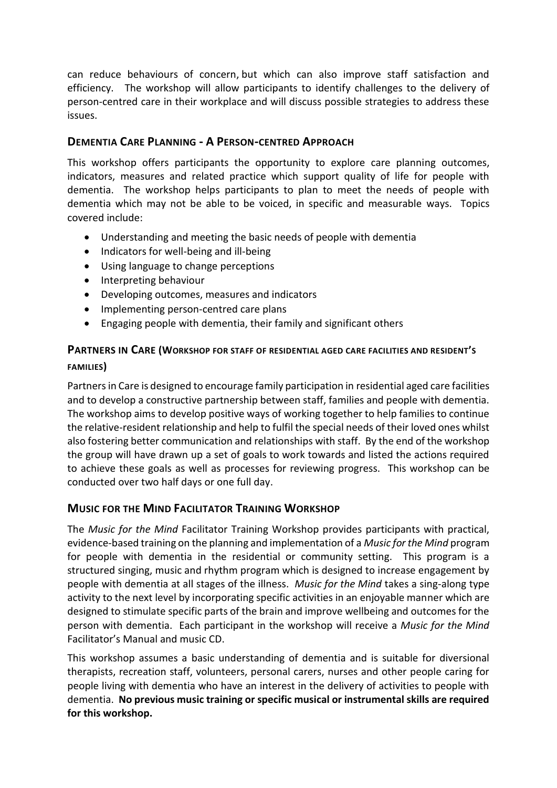can reduce behaviours of concern, but which can also improve staff satisfaction and efficiency. The workshop will allow participants to identify challenges to the delivery of person-centred care in their workplace and will discuss possible strategies to address these issues.

### **DEMENTIA CARE PLANNING - A PERSON-CENTRED APPROACH**

This workshop offers participants the opportunity to explore care planning outcomes, indicators, measures and related practice which support quality of life for people with dementia. The workshop helps participants to plan to meet the needs of people with dementia which may not be able to be voiced, in specific and measurable ways. Topics covered include:

- Understanding and meeting the basic needs of people with dementia
- Indicators for well-being and ill-being
- Using language to change perceptions
- Interpreting behaviour
- Developing outcomes, measures and indicators
- Implementing person-centred care plans
- Engaging people with dementia, their family and significant others

## **PARTNERS IN CARE (WORKSHOP FOR STAFF OF RESIDENTIAL AGED CARE FACILITIES AND RESIDENT'<sup>S</sup> FAMILIES)**

Partners in Care is designed to encourage family participation in residential aged care facilities and to develop a constructive partnership between staff, families and people with dementia. The workshop aims to develop positive ways of working together to help families to continue the relative-resident relationship and help to fulfil the special needs of their loved ones whilst also fostering better communication and relationships with staff. By the end of the workshop the group will have drawn up a set of goals to work towards and listed the actions required to achieve these goals as well as processes for reviewing progress. This workshop can be conducted over two half days or one full day.

#### **MUSIC FOR THE MIND FACILITATOR TRAINING WORKSHOP**

The *Music for the Mind* Facilitator Training Workshop provides participants with practical, evidence-based training on the planning and implementation of a *Music for the Mind* program for people with dementia in the residential or community setting. This program is a structured singing, music and rhythm program which is designed to increase engagement by people with dementia at all stages of the illness. *Music for the Mind* takes a sing-along type activity to the next level by incorporating specific activities in an enjoyable manner which are designed to stimulate specific parts of the brain and improve wellbeing and outcomes for the person with dementia. Each participant in the workshop will receive a *Music for the Mind* Facilitator's Manual and music CD.

This workshop assumes a basic understanding of dementia and is suitable for diversional therapists, recreation staff, volunteers, personal carers, nurses and other people caring for people living with dementia who have an interest in the delivery of activities to people with dementia. **No previous music training or specific musical or instrumental skills are required for this workshop.**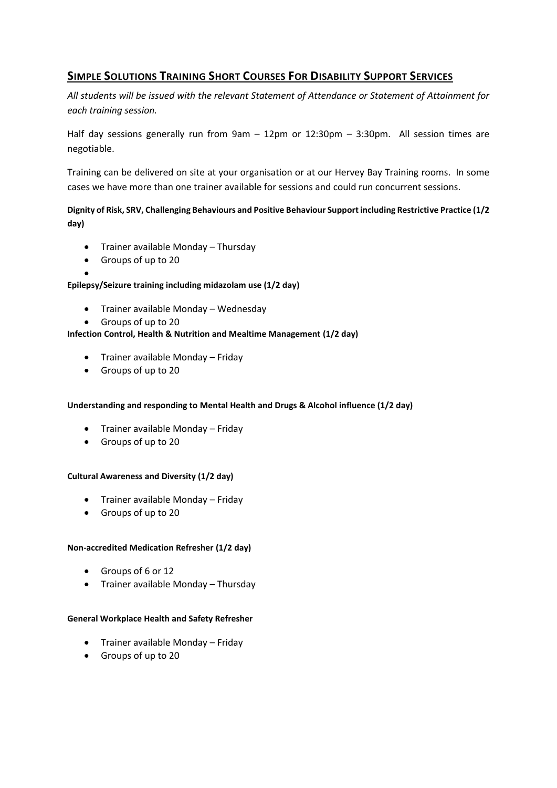## **SIMPLE SOLUTIONS TRAINING SHORT COURSES FOR DISABILITY SUPPORT SERVICES**

*All students will be issued with the relevant Statement of Attendance or Statement of Attainment for each training session.*

Half day sessions generally run from 9am – 12pm or 12:30pm – 3:30pm. All session times are negotiable.

Training can be delivered on site at your organisation or at our Hervey Bay Training rooms. In some cases we have more than one trainer available for sessions and could run concurrent sessions.

**Dignity of Risk, SRV, Challenging Behaviours and Positive Behaviour Support including Restrictive Practice (1/2 day)**

- Trainer available Monday Thursday
- Groups of up to 20
- $\bullet$

#### **Epilepsy/Seizure training including midazolam use (1/2 day)**

- Trainer available Monday Wednesday
- Groups of up to 20

#### **Infection Control, Health & Nutrition and Mealtime Management (1/2 day)**

- Trainer available Monday Friday
- Groups of up to 20

#### **Understanding and responding to Mental Health and Drugs & Alcohol influence (1/2 day)**

- Trainer available Monday Friday
- Groups of up to 20

#### **Cultural Awareness and Diversity (1/2 day)**

- Trainer available Monday Friday
- Groups of up to 20

#### **Non-accredited Medication Refresher (1/2 day)**

- Groups of 6 or 12
- Trainer available Monday Thursday

#### **General Workplace Health and Safety Refresher**

- Trainer available Monday Friday
- Groups of up to 20